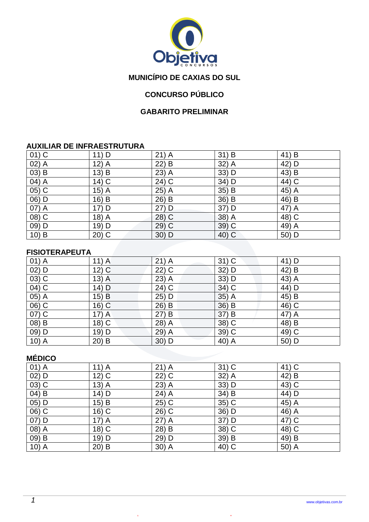

# **MUNICÍPIO DE CAXIAS DO SUL**

# **CONCURSO PÚBLICO**

#### **GABARITO PRELIMINAR**

#### **AUXILIAR DE INFRAESTRUTURA**

| $01)$ C               | 11) D                 | $21)$ A | $31)$ B | 41) B |
|-----------------------|-----------------------|---------|---------|-------|
| $(02)$ $\overline{A}$ | $12)$ A               | $22)$ B | 32) A   | 42) D |
| $(03)$ B              | $13)$ B               | 23) A   | 33) D   | 43) B |
| 04) A                 | $14)$ C               | 24) C   | 34) D   | 44) C |
| 05) C                 | 15)<br>$\overline{A}$ | 25) A   | 35) B   | 45) A |
| 06) D                 | $16)$ B               | 26) B   | 36) B   | 46) B |
| 07) A                 | 17) D                 | 27) D   | 37) D   | 47) A |
| 08) C                 | 18) A                 | 28) C   | 38) A   | 48) C |
| $09)$ D               | 19) D                 | 29) C   | 39) C   | 49) A |
| $10)$ B               | $20)$ C               | 30) D   | 40) C   | 50) D |

#### **FISIOTERAPEUTA**

| $01)$ A            | $11)$ A  | $21)$ A | $31)$ C | 41) D |
|--------------------|----------|---------|---------|-------|
| $02)$ D            | $12)$ C  | $22)$ C | 32) D   | 42) B |
| $(03)\overline{C}$ | $13)$ A  | $23)$ A | $33)$ D | 43) A |
| 04) C              | 14) D    | $24)$ C | 34) C   | 44) D |
| 05) A              | 15) B    | 25) D   | $35)$ A | 45) B |
| $\overline{06}$ C  | $16)$ C  | 26) B   | 36) B   | 46) C |
| $07)$ C            | $17)$ A  | 27) B   | 37) B   | 47) A |
| 08) B              | $18)$ C  | 28) A   | $38)$ C | 48) B |
| 09) D              | 19) D    | 29) A   | 39) C   | 49) C |
| $10)$ A            | 20)<br>B | $30)$ D | 40) A   | 50) D |

### **MÉDICO**

| $01)$ A  | $11)$ A           | $21)$ A             | $31)$ C | 41) C |
|----------|-------------------|---------------------|---------|-------|
| $02)$ D  | $12\overline{)C}$ | $\overline{22}$ ) C | 32) A   | 42) B |
| 03) C    | $13)$ A           | 23) A               | 33) D   | 43) C |
| $(04)$ B | 14) D             | 24) A               | 34) B   | 44) D |
| $05)$ D  | $15)$ B           | 25) C               | 35) C   | 45) A |
| 06) C    | $16)$ C           | 26) C               | 36) D   | 46) A |
| $07)$ D  | $17)$ A           | 27) A               | 37) D   | 47) C |
| $(08)$ A | $18)$ C           | 28) B               | 38) C   | 48) C |
| 09) B    | 19) D             | 29) D               | 39) B   | 49) B |
| $10)$ A  | $20)$ B           | $30)$ A             | 40) C   | 50) A |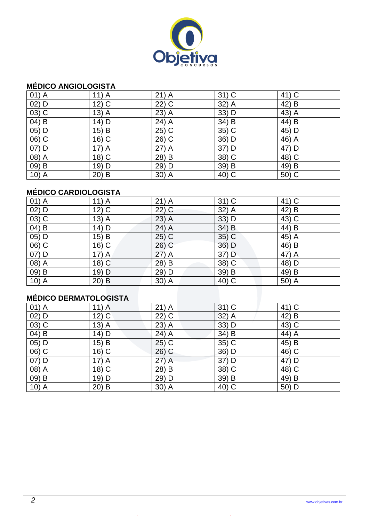

#### **MÉDICO ANGIOLOGISTA**

| $01)$ A            | $11)$ A | $21)$ A | $31)$ C | 41) C |
|--------------------|---------|---------|---------|-------|
| $02)$ D            | $12)$ C | $22)$ C | $32)$ A | 42) B |
| $03)$ C            | $13)$ A | 23) A   | 33) D   | 43) A |
| $04)$ B            | $14)$ D | $24)$ A | 34) B   | 44) B |
| 05) D              | 15) B   | $25)$ C | 35) C   | 45) D |
| 06) C              | $16)$ C | 26) C   | 36) D   | 46) A |
| $07)$ D            | $17)$ A | $27)$ A | 37) D   | 47) D |
| 08) A              | $18)$ C | 28) B   | 38) C   | 48) C |
| 09) B              | 19) D   | 29) D   | 39) B   | 49) B |
| 10) $\overline{A}$ | $20)$ B | $30)$ A | 40) C   | 50) C |

### **MÉDICO CARDIOLOGISTA**

| $01)$ A  | $11)$ A            | $21)$ A | $31)$ C  | 41) C                           |
|----------|--------------------|---------|----------|---------------------------------|
| $02)$ D  | $12)$ C            | $22)$ C | 32) A    | 42) B                           |
| $03)$ C  | $13)$ A            | $23)$ A | $33)$ D  | 43) C                           |
| 04) B    | 14) D              | 24) A   | $34)$ B  | 44) B                           |
| $05)$ D  | $15)$ B            | $25)$ C | 35) C    | $45\overline{\smash{\big)}\,A}$ |
| 06) C    | $16)$ C            | $26)$ C | 36) D    | 46) B                           |
| 07) D    | $17)$ A            | $27)$ A | 37) D    | 47) A                           |
| 08) A    | 18) $\overline{C}$ | 28) B   | 38) C    | 48) D                           |
| $(09)$ B | 19) D              | 29) D   | 39) B    | 49) B                           |
| $10)$ A  | $20)$ B            | 30) A   | $(40)$ C | 50) A                           |

# **MÉDICO DERMATOLOGISTA**

| $01)$ A | $11)$ A            | $21)$ A | $31)$ C | 41) C |
|---------|--------------------|---------|---------|-------|
| $02)$ D | $12)$ C            | $22)$ C | $32)$ A | 42) B |
| $03)$ C | $13)$ A            | 23) A   | 33) D   | 43) C |
| 04) B   | 14) D              | 24) A   | 34) B   | 44) A |
| 05) D   | 15) B              | $25)$ C | 35) C   | 45) B |
| 06) C   | $16)$ C            | $26)$ C | 36) D   | 46) C |
| 07) D   | $17)$ A            | 27) A   | 37) D   | 47) D |
| 08) A   | 18) $\overline{C}$ | 28) B   | 38) C   | 48) C |
| 09) B   | 19) D              | 29) D   | 39) B   | 49) B |
| $10)$ A | $20)$ B            | 30) A   | 40) C   | 50) D |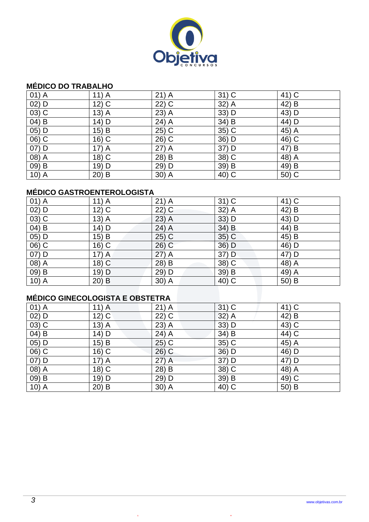

#### **MÉDICO DO TRABALHO**

| $01)$ A            | $11)$ A | $21)$ A | $31)$ C | 41) C |
|--------------------|---------|---------|---------|-------|
| $02)$ D            | $12)$ C | $22)$ C | 32) A   | 42) B |
| $03)$ C            | $13)$ A | $23)$ A | 33) D   | 43) D |
| 04) B              | 14) D   | 24) A   | 34) B   | 44) D |
| 05) D              | $15)$ B | 25) C   | 35) C   | 45) A |
| 06) C              | $16)$ C | 26) C   | 36) D   | 46) C |
| $07)$ D            | $17)$ A | $27)$ A | 37) D   | 47) B |
| 08) A              | $18)$ C | 28) B   | 38) C   | 48) A |
| 09) B              | 19) D   | 29) D   | 39) B   | 49) B |
| 10) $\overline{A}$ | $20)$ B | $30)$ A | 40) C   | 50) C |

### **MÉDICO GASTROENTEROLOGISTA**

| $01)$ A  | $11)$ A            | $21)$ A | $31)$ C  | 41) C              |
|----------|--------------------|---------|----------|--------------------|
| $02)$ D  | 12) $\overline{C}$ | $22)$ C | 32) A    | 42) B              |
| $03)$ C  | $13)$ A            | $23)$ A | $33)$ D  | 43) D              |
| 04) B    | 14) D              | 24) A   | 34) B    | 44) B              |
| 05) D    | $15)$ B            | $25)$ C | 35) C    | 45) B              |
| $(06)$ C | $16)$ C            | $26)$ C | $36)$ D  | 46) D              |
| 07) D    | $17)$ A            | $27)$ A | 37) D    | 47) D              |
| 08) A    | $18)$ C            | 28) B   | 38) C    | 48) $\overline{A}$ |
| $(09)$ B | 19) D              | 29) D   | 39) B    | 49) A              |
| $10)$ A  | $20)$ B            | 30) A   | $(40)$ C | 50) B              |

# **MÉDICO GINECOLOGISTA E OBSTETRA**

| $01)$ A | $11)$ A            | $21)$ A | $31)$ C | 41) C |
|---------|--------------------|---------|---------|-------|
| $02)$ D | $12)$ C            | $22)$ C | $32)$ A | 42) B |
| $03)$ C | $13)$ A            | 23) A   | 33) D   | 43) C |
| 04) B   | $14)$ D            | $24)$ A | 34) B   | 44) C |
| 05) D   | 15) B              | $25)$ C | 35) C   | 45) A |
| 06) C   | $16)$ C            | $26)$ C | 36) D   | 46) D |
| 07) D   | $17)$ A            | 27) A   | 37) D   | 47) D |
| 08) A   | 18) $\overline{C}$ | 28) B   | 38) C   | 48) A |
| 09) B   | 19) D              | 29) D   | 39) B   | 49) C |
| $10)$ A | $20)$ B            | 30) A   | 40) C   | 50) B |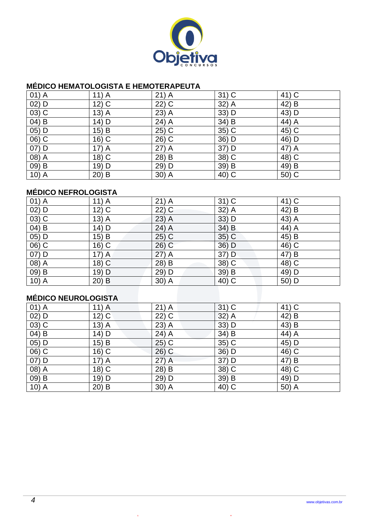

#### **MÉDICO HEMATOLOGISTA E HEMOTERAPEUTA**

| $01)$ A            | $11)$ A  | $21)$ A | $31)$ C | 41) C |
|--------------------|----------|---------|---------|-------|
| $02)$ D            | $12)$ C  | $22)$ C | $32)$ A | 42) B |
| $03)$ C            | $13)$ A  | $23)$ A | 33) D   | 43) D |
| $04)$ B            | 14) D    | 24) A   | 34) B   | 44) A |
| 05) D              | $15)$ B  | 25) C   | 35) C   | 45) C |
| 06) C              | $16)$ C  | 26) C   | 36) D   | 46) D |
| $07)$ D            | $17)$ A  | $27)$ A | 37) D   | 47) A |
| 08) A              | $18)$ C  | 28) B   | 38) C   | 48) C |
| 09) B              | 19) D    | 29) D   | 39) B   | 49) B |
| 10) $\overline{A}$ | 20)<br>B | 30) A   | 40) C   | 50) C |

# **MÉDICO NEFROLOGISTA**

| $01)$ A              | $11)$ A | $21)$ A | $31)$ C  | 41) C |  |
|----------------------|---------|---------|----------|-------|--|
| $02)$ D              | $12)$ C | $22)$ C | 32) A    | 42) B |  |
| $03)$ C              | $13)$ A | $23)$ A | $33)$ D  | 43) A |  |
| $04)$ B              | 14) D   | $24)$ A | $34)$ B  | 44) A |  |
| $05)$ D              | 15) B   | $25)$ C | $35)$ C  | 45) B |  |
| 06) C                | $16)$ C | 26) C   | 36) D    | 46) C |  |
| 07) D                | $17)$ A | $27)$ A | 37) D    | 47) B |  |
| 08) A                | $18)$ C | 28) B   | 38) C    | 48) C |  |
| 09) B                | $19)$ D | 29) D   | 39) B    | 49) D |  |
| $10)$ A              | $20)$ B | $30)$ A | $(40)$ C | 50) D |  |
|                      |         |         |          |       |  |
| MÉDICO NELIDOLOGISTA |         |         |          |       |  |

# **MÉDICO NEUROLOGISTA**

| $01)$ A | $11)$ A            | $21)$ A | $31)$ C | 41) C |
|---------|--------------------|---------|---------|-------|
| $02)$ D | $12)$ C            | $22)$ C | $32)$ A | 42) B |
| $03)$ C | $13)$ A            | 23) A   | 33) D   | 43) B |
| 04) B   | $14)$ D            | $24)$ A | 34) B   | 44) A |
| 05) D   | 15) B              | $25)$ C | 35) C   | 45) D |
| 06) C   | $16)$ C            | $26)$ C | 36) D   | 46) C |
| 07) D   | $17)$ A            | 27) A   | 37) D   | 47) B |
| 08) A   | 18) $\overline{C}$ | 28) B   | 38) C   | 48) C |
| 09) B   | 19) D              | 29) D   | 39) B   | 49) D |
| $10)$ A | $20)$ B            | 30) A   | 40) C   | 50) A |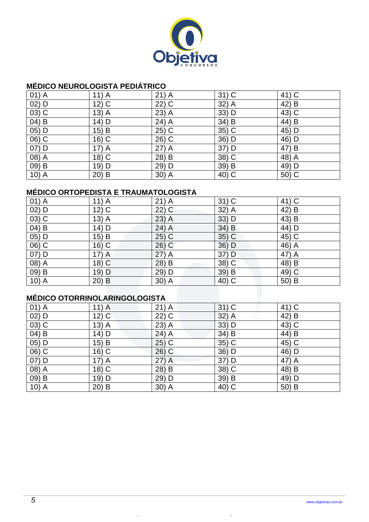

#### **MÉDICO NEUROLOGISTA PEDIÁTRICO**

| $01)$ A            | $11)$ A | $21)$ A | $31)$ C | 41) C |
|--------------------|---------|---------|---------|-------|
| $02)$ D            | $12)$ C | $22)$ C | $32)$ A | 42) B |
| $03)$ C            | $13)$ A | 23) A   | 33) D   | 43) C |
| $04)$ B            | $14)$ D | $24)$ A | 34) B   | 44) B |
| 05) D              | 15) B   | $25)$ C | $35)$ C | 45) D |
| 06) C              | $16)$ C | 26) C   | 36) D   | 46) D |
| $07)$ D            | $17)$ A | $27)$ A | 37) D   | 47) B |
| 08) A              | $18)$ C | 28) B   | 38) C   | 48) A |
| 09) B              | 19) D   | 29) D   | 39) B   | 49) D |
| 10) $\overline{A}$ | $20)$ B | $30)$ A | 40) C   | 50) C |

# **MÉDICO ORTOPEDISTA E TRAUMATOLOGISTA**

| $01)$ A  | $11)$ A | $21)$ A | $31)$ C  | 41) C   |
|----------|---------|---------|----------|---------|
| $02)$ D  | $12)$ C | $22)$ C | 32) A    | 42) B   |
| $03)$ C  | $13)$ A | $23)$ A | $33)$ D  | 43) B   |
| 04) B    | 14) D   | 24) A   | $34)$ B  | 44) D   |
| 05) D    | $15)$ B | $25)$ C | 35) C    | 45) C   |
| 06) C    | 16) C   | $26)$ C | 36) D    | $46)$ A |
| 07) D    | $17)$ A | $27)$ A | 37) D    | 47) A   |
| 08) A    | $18)$ C | 28) B   | 38) C    | 48) B   |
| $(09)$ B | 19) D   | 29) D   | 39) B    | 49) C   |
| $10)$ A  | $20)$ B | 30) A   | $(40)$ C | 50) B   |

# **MÉDICO OTORRINOLARINGOLOGISTA**

| $01)$ A | $11)$ A            | $21)$ A | $31)$ C | 41) C |
|---------|--------------------|---------|---------|-------|
| $02)$ D | $12)$ C            | $22)$ C | $32)$ A | 42) B |
| $03)$ C | $13)$ A            | 23) A   | 33) D   | 43) C |
| 04) B   | $14)$ D            | $24)$ A | 34) B   | 44) B |
| 05) D   | 15) B              | $25)$ C | 35) C   | 45) C |
| 06) C   | $16)$ C            | $26)$ C | 36) D   | 46) D |
| 07) D   | $17)$ A            | 27) A   | 37) D   | 47) A |
| 08) A   | 18) $\overline{C}$ | 28) B   | 38) C   | 48) B |
| 09) B   | 19) D              | 29) D   | 39) B   | 49) D |
| $10)$ A | $20)$ B            | 30) A   | 40) C   | 50) B |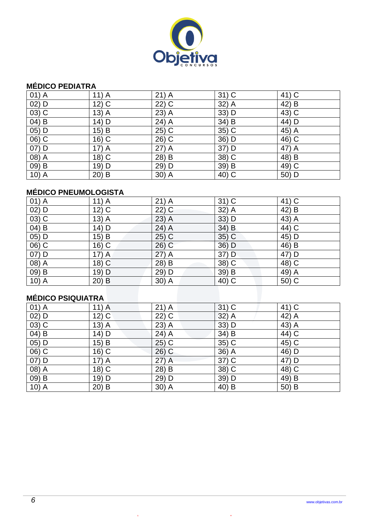

### **MÉDICO PEDIATRA**

| $01)$ A | $11)$ A | $21)$ A | $31)$ C | 41) C |
|---------|---------|---------|---------|-------|
| $02)$ D | $12)$ C | $22)$ C | 32) A   | 42) B |
| $03)$ C | $13)$ A | $23)$ A | 33) D   | 43) C |
| 04) B   | 14) D   | 24) A   | 34) B   | 44) D |
| 05) D   | 15) B   | 25) C   | 35) C   | 45) A |
| 06) C   | $16)$ C | 26) C   | 36) D   | 46) C |
| $07)$ D | $17)$ A | $27)$ A | 37) D   | 47) A |
| 08) A   | $18)$ C | 28) B   | 38) C   | 48) B |
| 09) B   | 19) D   | 29) D   | 39) B   | 49) C |
| $10)$ A | $20)$ B | $30)$ A | 40) C   | 50) D |

# **MÉDICO PNEUMOLOGISTA**

| $01)$ A | $11)$ A | $21)$ A | $31)$ C  | 41) C   |
|---------|---------|---------|----------|---------|
| $02)$ D | $12)$ C | 22) C   | 32) A    | 42) B   |
| $03)$ C | $13)$ A | 23) A   | $33)$ D  | 43) A   |
| 04) B   | 14) D   | 24) A   | 34) B    | 44) C   |
| $05)$ D | 15) B   | $25)$ C | 35) C    | $45)$ D |
| 06) C   | $16)$ C | 26) C   | 36) D    | 46) B   |
| 07) D   | $17)$ A | $27)$ A | 37) D    | 47) D   |
| 08) A   | $18)$ C | 28) B   | 38) C    | 48) C   |
| 09) B   | 19) D   | 29) D   | 39) B    | 49) A   |
| $10)$ A | $20)$ B | 30) A   | $(40)$ C | 50) C   |

# **MÉDICO PSIQUIATRA**

| $01)$ A  | $11)$ A            | $21)$ A                 | $31)$ C | 41) C |
|----------|--------------------|-------------------------|---------|-------|
| $02)$ D  | $12)$ C            | $22)$ C                 | 32) A   | 42) A |
| 03) C    | $13)$ A            | 23) A                   | 33) D   | 43) A |
| $04)$ B  | 14) D              | 24) A                   | 34) B   | 44) C |
| 05) D    | 15) B              | $25)$ C                 | 35) C   | 45) C |
| 06) C    | 16) C              | $26)$ C                 | 36) A   | 46) D |
| 07) D    | $17)$ A            | 27) A                   | 37) C   | 47) D |
| $(08)$ A | 18) $\overline{C}$ | $28\overline{\smash)B}$ | 38) C   | 48) C |
| $(09)$ B | 19) D              | 29) D                   | 39) D   | 49) B |
| $10)$ A  | $20)$ B            | 30) A                   | 40) B   | 50) B |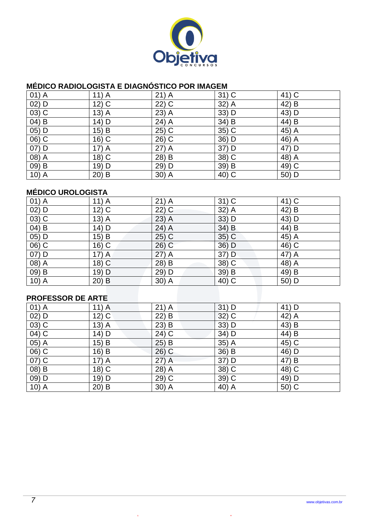

#### **MÉDICO RADIOLOGISTA E DIAGNÓSTICO POR IMAGEM**

| $01)$ A            | $11)$ A  | $21)$ A | $31)$ C | 41) C |
|--------------------|----------|---------|---------|-------|
| $02)$ D            | $12)$ C  | $22)$ C | $32)$ A | 42) B |
| $03)$ C            | $13)$ A  | $23)$ A | 33) D   | 43) D |
| $04)$ B            | 14) D    | 24) A   | 34) B   | 44) B |
| 05) D              | $15)$ B  | 25) C   | 35) C   | 45) A |
| 06) C              | $16)$ C  | 26) C   | 36) D   | 46) A |
| $07)$ D            | $17)$ A  | $27)$ A | 37) D   | 47) D |
| 08) A              | $18)$ C  | 28) B   | 38) C   | 48) A |
| 09) B              | 19) D    | 29) D   | 39) B   | 49) C |
| 10) $\overline{A}$ | 20)<br>B | $30)$ A | 40) C   | 50) D |

### **MÉDICO UROLOGISTA**

| $01)$ A           | $11)$ A | $21)$ A | $31)$ C  | 41) C |  |  |
|-------------------|---------|---------|----------|-------|--|--|
| $02)$ D           | $12)$ C | $22)$ C | 32) A    | 42) B |  |  |
| $03)$ C           | $13)$ A | $23)$ A | $33)$ D  | 43) D |  |  |
| 04) B             | $14)$ D | $24)$ A | $34)$ B  | 44) B |  |  |
| 05) D             | 15) B   | $25)$ C | $35)$ C  | 45) A |  |  |
| 06) C             | $16)$ C | $26)$ C | 36) D    | 46) C |  |  |
| 07) D             | $17)$ A | $27)$ A | 37) D    | 47) A |  |  |
| 08) A             | 18) C   | 28) B   | 38) C    | 48) A |  |  |
| 09) B             | 19) D   | 29) D   | 39) B    | 49) B |  |  |
| $10)$ A           | $20)$ B | $30)$ A | $(40)$ C | 50) D |  |  |
|                   |         |         |          |       |  |  |
| DDAEESSAD NE ADTE |         |         |          |       |  |  |

#### **PROFESSOR DE ARTE**

| $01)$ A            | $11)$ A | $21)$ A | $31)$ D | 41) D |
|--------------------|---------|---------|---------|-------|
| $02)$ D            | $12)$ C | 22) B   | $32)$ C | 42) A |
| $(03)$ C           | $13)$ A | 23) B   | 33) D   | 43) B |
| 04) C              | $14)$ D | 24) C   | 34) D   | 44) B |
| 05) A              | 15) B   | $25)$ B | 35) A   | 45) C |
| 06) C              | $16)$ B | $26)$ C | 36) B   | 46) D |
| $\overline{07)}$ C | $17)$ A | $27)$ A | 37) D   | 47) B |
| 08) B              | $18)$ C | 28) A   | 38) C   | 48) C |
| 09) D              | 19) D   | 29) C   | 39) C   | 49) D |
| $10)$ A            | $20)$ B | 30) A   | 40) A   | 50) C |